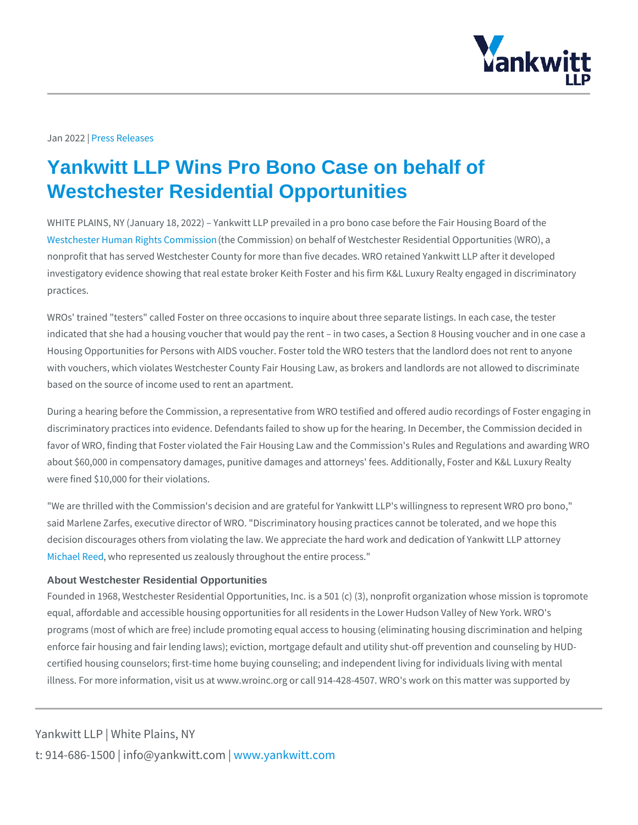## Jan 20 22 \$ s Releases

## Yankwitt LLP Wins Pro Bono Case on behalf of Westchester Residential Opportunities

WHITE PLAINS, NY (January 18, 2022) Yankwitt LLP prevailed in a pro bono ca [Westchester Human Rig](https://wroinc.org/)h(ttshe Comminsississimon) on behalf of Westchester Residential O nonprofit that has served Westchester County for more than five decades. WRO r investigatory evidence showing that real estate broker Keith Foster and his firm practices.

WROs' trained "testers" called Foster on three occasions to inquire about three s indicated that she had a housing voucher that would pay the rent in two cases, Housing Opportunities for Persons with AIDS voucher. Foster told the WRO teste with vouchers, which violates Westchester County Fair Housing Law, as brokers and based on the source of income used to rent an apartment.

During a hearing before the Commission, a representative from WRO testified an discriminatory practices into evidence. Defendants failed to show up for the hear favor of WRO, finding that Foster violated the Fair Housing Law and the Commiss about \$60,000 in compensatory damages, punitive damages and attorneys' fees. were fined \$10,000 for their violations.

"We are thrilled with the Commission's decision and are grateful for Yankwitt LLI said Marlene Zarfes, executive director of WRO. "Discriminatory housing practice decision discourages others from violating the law. We appreciate the hard work [Michael](https://www.yankwitt.com/attorneys/michael-h-reed/), Rue hered represented us zealously throughout the entire process."

## About Westchester Residential Opportunities

Founded in 1968, Westchester Residential Opportunities, Inc. is a 50 pr (om) o(t&), no equal, affordable and accessible housing opportunities for all residents in the Lo programs (most of which are free) include promoting equal access to housing (el enforce fair housing and fair lending laws); eviction, mortgage default and utility certified housing counselors; first-time home buying counseling; and independen illness. For more information, visit us at www.wroinc.org or call 914-428-4507. V

Yankwitt LLP | White Plains, NY t:  $914 - 686 - 1500$  | info@y wawn ky wom intit wo interport on